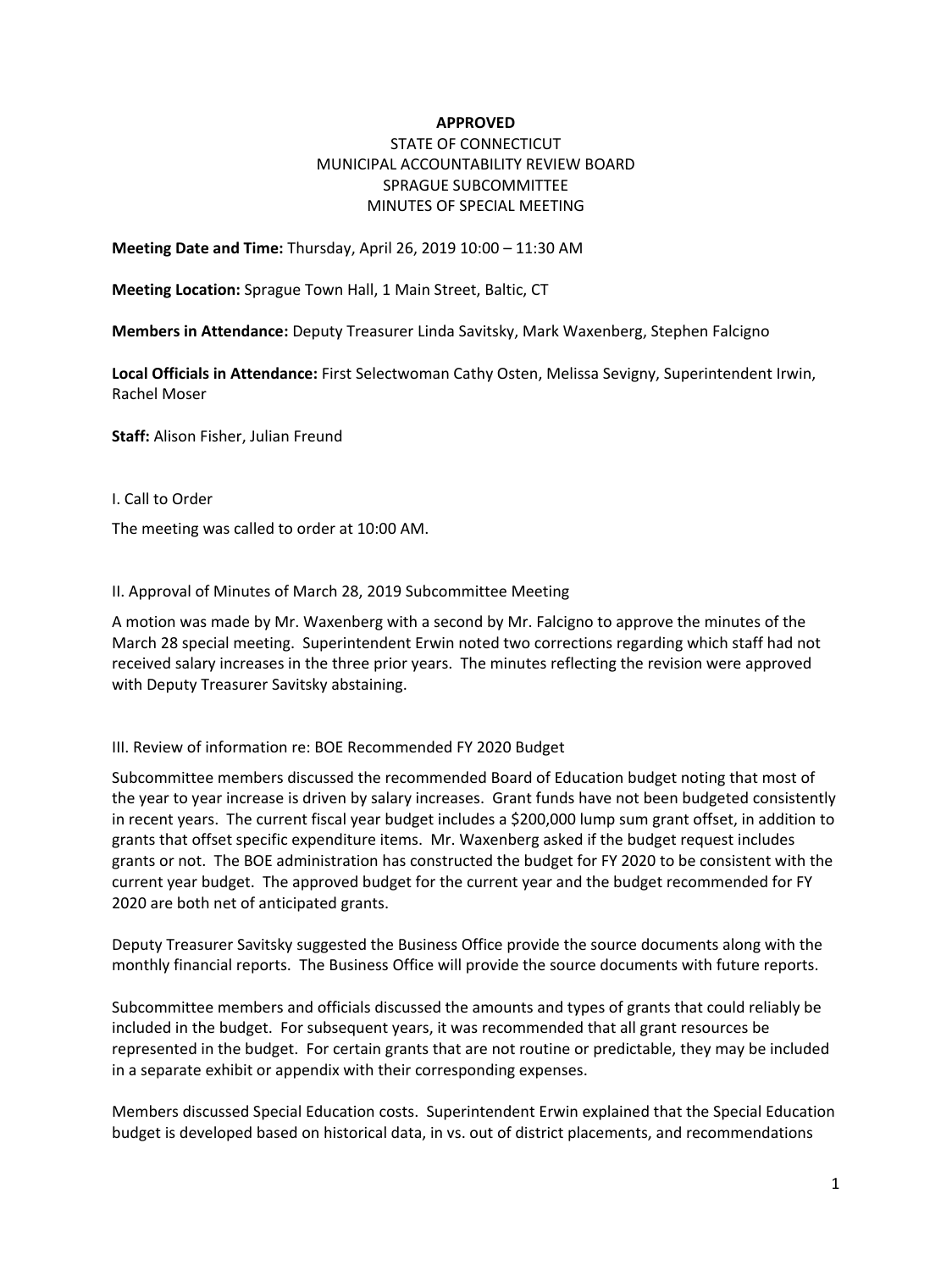## **APPROVED**

## STATE OF CONNECTICUT MUNICIPAL ACCOUNTABILITY REVIEW BOARD SPRAGUE SUBCOMMITTEE MINUTES OF SPECIAL MEETING

**Meeting Date and Time:** Thursday, April 26, 2019 10:00 – 11:30 AM

**Meeting Location:** Sprague Town Hall, 1 Main Street, Baltic, CT

**Members in Attendance:** Deputy Treasurer Linda Savitsky, Mark Waxenberg, Stephen Falcigno

**Local Officials in Attendance:** First Selectwoman Cathy Osten, Melissa Sevigny, Superintendent Irwin, Rachel Moser

**Staff:** Alison Fisher, Julian Freund

I. Call to Order

The meeting was called to order at 10:00 AM.

II. Approval of Minutes of March 28, 2019 Subcommittee Meeting

A motion was made by Mr. Waxenberg with a second by Mr. Falcigno to approve the minutes of the March 28 special meeting. Superintendent Erwin noted two corrections regarding which staff had not received salary increases in the three prior years. The minutes reflecting the revision were approved with Deputy Treasurer Savitsky abstaining.

III. Review of information re: BOE Recommended FY 2020 Budget

Subcommittee members discussed the recommended Board of Education budget noting that most of the year to year increase is driven by salary increases. Grant funds have not been budgeted consistently in recent years. The current fiscal year budget includes a \$200,000 lump sum grant offset, in addition to grants that offset specific expenditure items. Mr. Waxenberg asked if the budget request includes grants or not. The BOE administration has constructed the budget for FY 2020 to be consistent with the current year budget. The approved budget for the current year and the budget recommended for FY 2020 are both net of anticipated grants.

Deputy Treasurer Savitsky suggested the Business Office provide the source documents along with the monthly financial reports. The Business Office will provide the source documents with future reports.

Subcommittee members and officials discussed the amounts and types of grants that could reliably be included in the budget. For subsequent years, it was recommended that all grant resources be represented in the budget. For certain grants that are not routine or predictable, they may be included in a separate exhibit or appendix with their corresponding expenses.

Members discussed Special Education costs. Superintendent Erwin explained that the Special Education budget is developed based on historical data, in vs. out of district placements, and recommendations